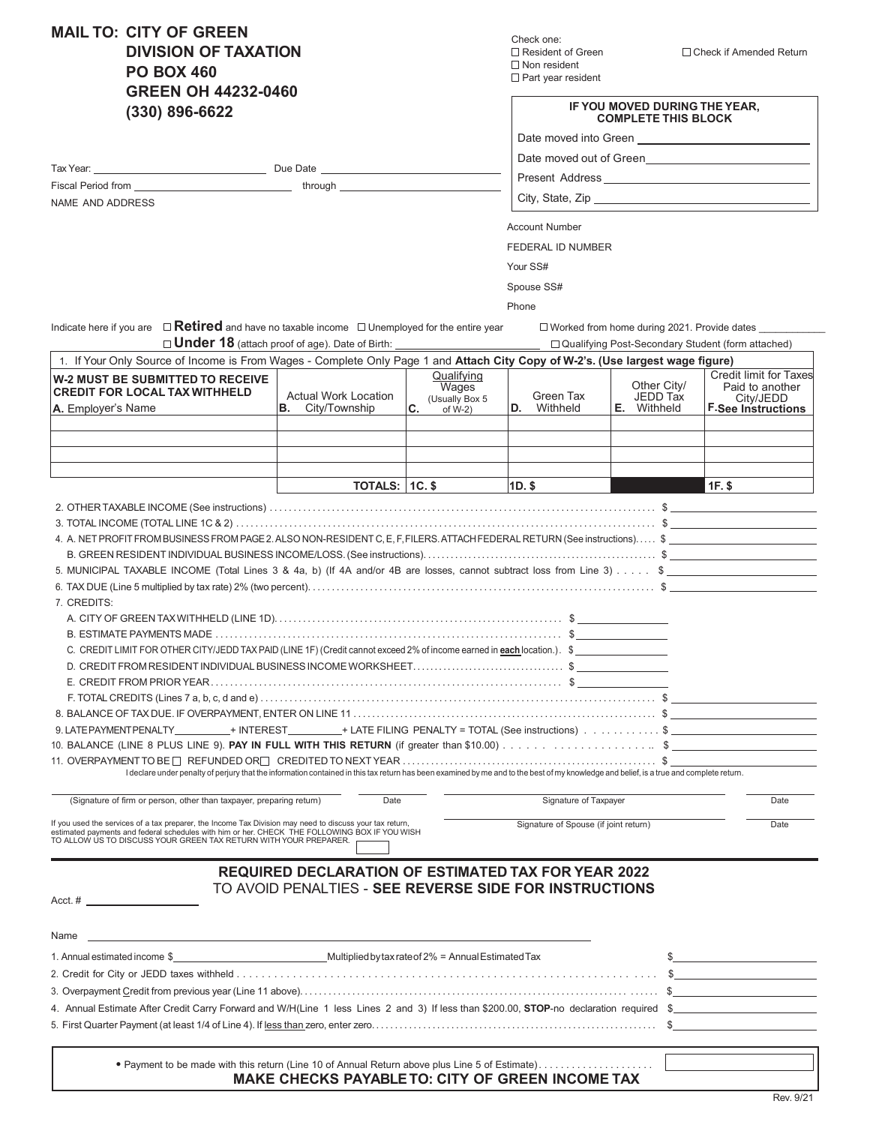**MAIL TO: CITY OF GREEN DIVISION OF TAXATION PO BOX 460 GREEN OH 44232-0460 (330) 896-6622**

Tax Year: Due Date

Fiscal Period from

NAME AND ADDRESS

Check one:  $\square$  Non resident  $\square$  Part year resident

□ Resident of Green Check if Amended Return

| IF YOU MOVED DURING THE YEAR. |
|-------------------------------|
| <b>COMPLETE THIS BLOCK</b>    |

Date moved into Green

Date moved out of Green

Present Address

City, State, Zip

Account Number

FEDERAL ID NUMBER

Your SS#

Spouse SS#

Phone

Indicate here if you are  $\Box$  Retired and have no taxable income  $\Box$  Unemployed for the entire year  $\Box$  Worked from home during 2021. Provide dates

\_\_ through \_

| <b>Under 18</b> (attach proof of age). Date of Birth:                                                                                                                                                                                                                         |                                                            |                                                           |                                       |                                               | □ Qualifying Post-Secondary Student (form attached)                                        |  |
|-------------------------------------------------------------------------------------------------------------------------------------------------------------------------------------------------------------------------------------------------------------------------------|------------------------------------------------------------|-----------------------------------------------------------|---------------------------------------|-----------------------------------------------|--------------------------------------------------------------------------------------------|--|
| 1. If Your Only Source of Income is From Wages - Complete Only Page 1 and Attach City Copy of W-2's. (Use largest wage figure)                                                                                                                                                |                                                            |                                                           |                                       |                                               |                                                                                            |  |
| <b>W-2 MUST BE SUBMITTED TO RECEIVE</b><br><b>CREDIT FOR LOCAL TAX WITHHELD</b><br>A. Employer's Name                                                                                                                                                                         | <b>Actual Work Location</b><br>В.<br>City/Township         | Qualifving<br>Wages<br>(Usually Box 5<br>C.<br>of $W-2$ ) | Green Tax<br><b>D.</b> Withheld       | Other City/<br>JEDD Tax<br><b>E.</b> Withheld | <b>Credit limit for Taxes</b><br>Paid to another<br>City/JEDD<br><b>F</b> See Instructions |  |
|                                                                                                                                                                                                                                                                               |                                                            |                                                           |                                       |                                               |                                                                                            |  |
|                                                                                                                                                                                                                                                                               |                                                            |                                                           |                                       |                                               |                                                                                            |  |
|                                                                                                                                                                                                                                                                               |                                                            |                                                           |                                       |                                               |                                                                                            |  |
|                                                                                                                                                                                                                                                                               | <b>TOTALS: 1C. \$</b>                                      |                                                           | $1D.$ \$                              |                                               | <b>1F.S</b>                                                                                |  |
|                                                                                                                                                                                                                                                                               |                                                            |                                                           |                                       |                                               |                                                                                            |  |
|                                                                                                                                                                                                                                                                               |                                                            |                                                           |                                       |                                               |                                                                                            |  |
| 4. A. NET PROFIT FROM BUSINESS FROM PAGE 2. ALSO NON-RESIDENT C, E, F, FILERS. ATTACH FEDERAL RETURN (See instructions) \$                                                                                                                                                    |                                                            |                                                           |                                       |                                               |                                                                                            |  |
|                                                                                                                                                                                                                                                                               |                                                            |                                                           |                                       |                                               |                                                                                            |  |
| 5. MUNICIPAL TAXABLE INCOME (Total Lines 3 & 4a, b) (If 4A and/or 4B are losses, cannot subtract loss from Line 3) \$                                                                                                                                                         |                                                            |                                                           |                                       |                                               |                                                                                            |  |
|                                                                                                                                                                                                                                                                               |                                                            |                                                           |                                       |                                               |                                                                                            |  |
| 7. CREDITS:                                                                                                                                                                                                                                                                   |                                                            |                                                           |                                       |                                               |                                                                                            |  |
|                                                                                                                                                                                                                                                                               |                                                            |                                                           |                                       |                                               |                                                                                            |  |
|                                                                                                                                                                                                                                                                               |                                                            |                                                           |                                       |                                               |                                                                                            |  |
| C. CREDIT LIMIT FOR OTHER CITY/JEDD TAX PAID (LINE 1F) (Credit cannot exceed 2% of income earned in each location.). \$                                                                                                                                                       |                                                            |                                                           |                                       |                                               |                                                                                            |  |
|                                                                                                                                                                                                                                                                               |                                                            |                                                           |                                       |                                               |                                                                                            |  |
|                                                                                                                                                                                                                                                                               |                                                            |                                                           |                                       |                                               |                                                                                            |  |
|                                                                                                                                                                                                                                                                               |                                                            |                                                           |                                       |                                               |                                                                                            |  |
| 9. LATEPAYMENTPENALTY + INTEREST + LATE FILING PENALTY = TOTAL (See instructions) \$                                                                                                                                                                                          |                                                            |                                                           |                                       |                                               |                                                                                            |  |
|                                                                                                                                                                                                                                                                               |                                                            |                                                           |                                       |                                               |                                                                                            |  |
|                                                                                                                                                                                                                                                                               |                                                            |                                                           |                                       |                                               |                                                                                            |  |
| I declare under penalty of perjury that the information contained in this tax return has been examined by me and to the best of my knowledge and belief, is a true and complete return.                                                                                       |                                                            |                                                           |                                       |                                               |                                                                                            |  |
| (Signature of firm or person, other than taxpayer, preparing return)                                                                                                                                                                                                          | Date                                                       |                                                           | Signature of Taxpayer                 |                                               | Date                                                                                       |  |
| If you used the services of a tax preparer, the Income Tax Division may need to discuss your tax return,<br>estimated payments and federal schedules with him or her. CHECK THE FOLLOWING BOX IF YOU WISH<br>TO ALLOW US TO DISCUSS YOUR GREEN TAX RETURN WITH YOUR PREPARER. |                                                            |                                                           | Signature of Spouse (if joint return) |                                               | Date                                                                                       |  |
|                                                                                                                                                                                                                                                                               | <b>REQUIRED DECLARATION OF ESTIMATED TAX FOR YEAR 2022</b> |                                                           |                                       |                                               |                                                                                            |  |
|                                                                                                                                                                                                                                                                               | TO AVOID PENALTIES - SEE REVERSE SIDE FOR INSTRUCTIONS     |                                                           |                                       |                                               |                                                                                            |  |
| Acct. $#$                                                                                                                                                                                                                                                                     |                                                            |                                                           |                                       |                                               |                                                                                            |  |
|                                                                                                                                                                                                                                                                               |                                                            |                                                           |                                       |                                               |                                                                                            |  |
| Name                                                                                                                                                                                                                                                                          |                                                            |                                                           |                                       |                                               |                                                                                            |  |
| 1. Annual estimated income \$ 6. [29] Multiplied by tax rate of 2% = Annual Estimated Tax                                                                                                                                                                                     |                                                            |                                                           |                                       |                                               |                                                                                            |  |
|                                                                                                                                                                                                                                                                               |                                                            |                                                           |                                       |                                               | $\frac{1}{2}$                                                                              |  |
|                                                                                                                                                                                                                                                                               |                                                            |                                                           |                                       |                                               |                                                                                            |  |
| 4. Annual Estimate After Credit Carry Forward and W/H(Line 1 less Lines 2 and 3) If less than \$200.00, STOP-no declaration required \$                                                                                                                                       |                                                            |                                                           |                                       |                                               |                                                                                            |  |
|                                                                                                                                                                                                                                                                               |                                                            |                                                           |                                       |                                               | $\mathbb{S}$                                                                               |  |
|                                                                                                                                                                                                                                                                               |                                                            |                                                           |                                       |                                               |                                                                                            |  |

• Payment to be made with this return (Line 10 of Annual Return above plus Line 5 of Estimate) . . . . . . . . . . . . . . . . . . . . . **MAKE CHECKS PAYABLE TO: CITY OF GREEN INCOME TAX**